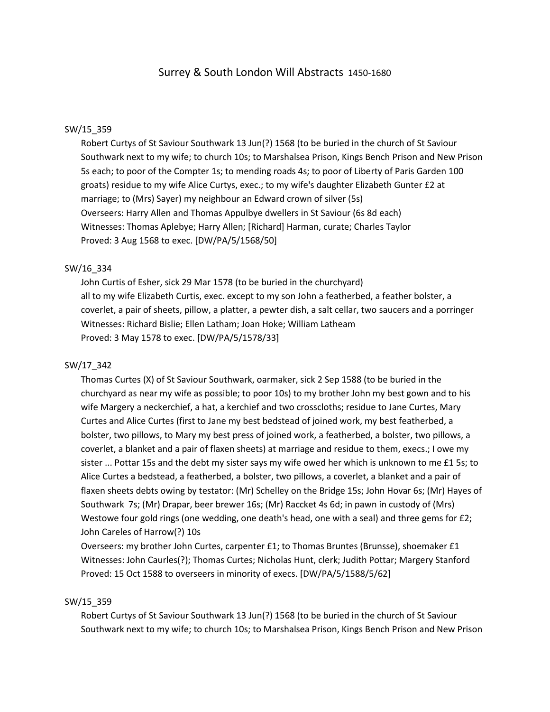## Surrey & South London Will Abstracts 1450-1680

#### SW/15\_359

Robert Curtys of St Saviour Southwark 13 Jun(?) 1568 (to be buried in the church of St Saviour Southwark next to my wife; to church 10s; to Marshalsea Prison, Kings Bench Prison and New Prison 5s each; to poor of the Compter 1s; to mending roads 4s; to poor of Liberty of Paris Garden 100 groats) residue to my wife Alice Curtys, exec.; to my wife's daughter Elizabeth Gunter £2 at marriage; to (Mrs) Sayer) my neighbour an Edward crown of silver (5s) Overseers: Harry Allen and Thomas Appulbye dwellers in St Saviour (6s 8d each) Witnesses: Thomas Aplebye; Harry Allen; [Richard] Harman, curate; Charles Taylor Proved: 3 Aug 1568 to exec. [DW/PA/5/1568/50]

#### SW/16\_334

John Curtis of Esher, sick 29 Mar 1578 (to be buried in the churchyard) all to my wife Elizabeth Curtis, exec. except to my son John a featherbed, a feather bolster, a coverlet, a pair of sheets, pillow, a platter, a pewter dish, a salt cellar, two saucers and a porringer Witnesses: Richard Bislie; Ellen Latham; Joan Hoke; William Latheam Proved: 3 May 1578 to exec. [DW/PA/5/1578/33]

#### SW/17\_342

Thomas Curtes (X) of St Saviour Southwark, oarmaker, sick 2 Sep 1588 (to be buried in the churchyard as near my wife as possible; to poor 10s) to my brother John my best gown and to his wife Margery a neckerchief, a hat, a kerchief and two crosscloths; residue to Jane Curtes, Mary Curtes and Alice Curtes (first to Jane my best bedstead of joined work, my best featherbed, a bolster, two pillows, to Mary my best press of joined work, a featherbed, a bolster, two pillows, a coverlet, a blanket and a pair of flaxen sheets) at marriage and residue to them, execs.; I owe my sister ... Pottar 15s and the debt my sister says my wife owed her which is unknown to me £1 5s; to Alice Curtes a bedstead, a featherbed, a bolster, two pillows, a coverlet, a blanket and a pair of flaxen sheets debts owing by testator: (Mr) Schelley on the Bridge 15s; John Hovar 6s; (Mr) Hayes of Southwark 7s; (Mr) Drapar, beer brewer 16s; (Mr) Raccket 4s 6d; in pawn in custody of (Mrs) Westowe four gold rings (one wedding, one death's head, one with a seal) and three gems for £2; John Careles of Harrow(?) 10s

Overseers: my brother John Curtes, carpenter £1; to Thomas Bruntes (Brunsse), shoemaker £1 Witnesses: John Caurles(?); Thomas Curtes; Nicholas Hunt, clerk; Judith Pottar; Margery Stanford Proved: 15 Oct 1588 to overseers in minority of execs. [DW/PA/5/1588/5/62]

#### SW/15\_359

Robert Curtys of St Saviour Southwark 13 Jun(?) 1568 (to be buried in the church of St Saviour Southwark next to my wife; to church 10s; to Marshalsea Prison, Kings Bench Prison and New Prison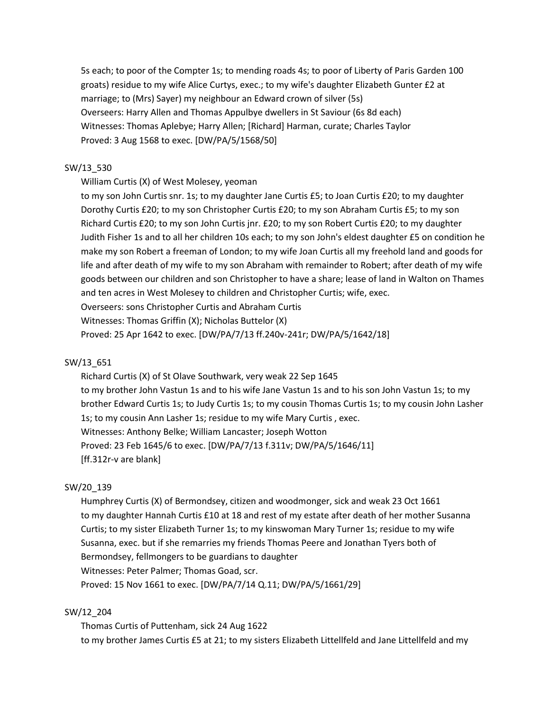5s each; to poor of the Compter 1s; to mending roads 4s; to poor of Liberty of Paris Garden 100 groats) residue to my wife Alice Curtys, exec.; to my wife's daughter Elizabeth Gunter £2 at marriage; to (Mrs) Sayer) my neighbour an Edward crown of silver (5s) Overseers: Harry Allen and Thomas Appulbye dwellers in St Saviour (6s 8d each) Witnesses: Thomas Aplebye; Harry Allen; [Richard] Harman, curate; Charles Taylor Proved: 3 Aug 1568 to exec. [DW/PA/5/1568/50]

### SW/13\_530

William Curtis (X) of West Molesey, yeoman

to my son John Curtis snr. 1s; to my daughter Jane Curtis £5; to Joan Curtis £20; to my daughter Dorothy Curtis £20; to my son Christopher Curtis £20; to my son Abraham Curtis £5; to my son Richard Curtis £20; to my son John Curtis jnr. £20; to my son Robert Curtis £20; to my daughter Judith Fisher 1s and to all her children 10s each; to my son John's eldest daughter £5 on condition he make my son Robert a freeman of London; to my wife Joan Curtis all my freehold land and goods for life and after death of my wife to my son Abraham with remainder to Robert; after death of my wife goods between our children and son Christopher to have a share; lease of land in Walton on Thames and ten acres in West Molesey to children and Christopher Curtis; wife, exec. Overseers: sons Christopher Curtis and Abraham Curtis

Witnesses: Thomas Griffin (X); Nicholas Buttelor (X)

Proved: 25 Apr 1642 to exec. [DW/PA/7/13 ff.240v-241r; DW/PA/5/1642/18]

#### SW/13\_651

Richard Curtis (X) of St Olave Southwark, very weak 22 Sep 1645 to my brother John Vastun 1s and to his wife Jane Vastun 1s and to his son John Vastun 1s; to my brother Edward Curtis 1s; to Judy Curtis 1s; to my cousin Thomas Curtis 1s; to my cousin John Lasher 1s; to my cousin Ann Lasher 1s; residue to my wife Mary Curtis , exec. Witnesses: Anthony Belke; William Lancaster; Joseph Wotton Proved: 23 Feb 1645/6 to exec. [DW/PA/7/13 f.311v; DW/PA/5/1646/11] [ff.312r-v are blank]

### SW/20\_139

Humphrey Curtis (X) of Bermondsey, citizen and woodmonger, sick and weak 23 Oct 1661 to my daughter Hannah Curtis £10 at 18 and rest of my estate after death of her mother Susanna Curtis; to my sister Elizabeth Turner 1s; to my kinswoman Mary Turner 1s; residue to my wife Susanna, exec. but if she remarries my friends Thomas Peere and Jonathan Tyers both of Bermondsey, fellmongers to be guardians to daughter Witnesses: Peter Palmer; Thomas Goad, scr. Proved: 15 Nov 1661 to exec. [DW/PA/7/14 Q.11; DW/PA/5/1661/29]

### SW/12\_204

Thomas Curtis of Puttenham, sick 24 Aug 1622 to my brother James Curtis £5 at 21; to my sisters Elizabeth Littellfeld and Jane Littellfeld and my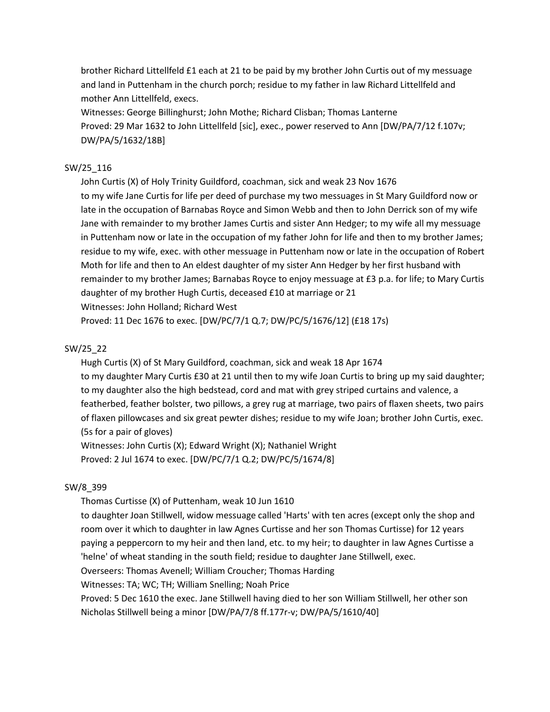brother Richard Littellfeld £1 each at 21 to be paid by my brother John Curtis out of my messuage and land in Puttenham in the church porch; residue to my father in law Richard Littellfeld and mother Ann Littellfeld, execs.

Witnesses: George Billinghurst; John Mothe; Richard Clisban; Thomas Lanterne Proved: 29 Mar 1632 to John Littellfeld [sic], exec., power reserved to Ann [DW/PA/7/12 f.107v; DW/PA/5/1632/18B]

## SW/25\_116

John Curtis (X) of Holy Trinity Guildford, coachman, sick and weak 23 Nov 1676 to my wife Jane Curtis for life per deed of purchase my two messuages in St Mary Guildford now or late in the occupation of Barnabas Royce and Simon Webb and then to John Derrick son of my wife Jane with remainder to my brother James Curtis and sister Ann Hedger; to my wife all my messuage in Puttenham now or late in the occupation of my father John for life and then to my brother James; residue to my wife, exec. with other messuage in Puttenham now or late in the occupation of Robert Moth for life and then to An eldest daughter of my sister Ann Hedger by her first husband with remainder to my brother James; Barnabas Royce to enjoy messuage at £3 p.a. for life; to Mary Curtis daughter of my brother Hugh Curtis, deceased £10 at marriage or 21 Witnesses: John Holland; Richard West

Proved: 11 Dec 1676 to exec. [DW/PC/7/1 Q.7; DW/PC/5/1676/12] (£18 17s)

## SW/25\_22

Hugh Curtis (X) of St Mary Guildford, coachman, sick and weak 18 Apr 1674 to my daughter Mary Curtis £30 at 21 until then to my wife Joan Curtis to bring up my said daughter; to my daughter also the high bedstead, cord and mat with grey striped curtains and valence, a featherbed, feather bolster, two pillows, a grey rug at marriage, two pairs of flaxen sheets, two pairs of flaxen pillowcases and six great pewter dishes; residue to my wife Joan; brother John Curtis, exec. (5s for a pair of gloves)

Witnesses: John Curtis (X); Edward Wright (X); Nathaniel Wright Proved: 2 Jul 1674 to exec. [DW/PC/7/1 Q.2; DW/PC/5/1674/8]

# SW/8\_399

Thomas Curtisse (X) of Puttenham, weak 10 Jun 1610

to daughter Joan Stillwell, widow messuage called 'Harts' with ten acres (except only the shop and room over it which to daughter in law Agnes Curtisse and her son Thomas Curtisse) for 12 years paying a peppercorn to my heir and then land, etc. to my heir; to daughter in law Agnes Curtisse a 'helne' of wheat standing in the south field; residue to daughter Jane Stillwell, exec.

Overseers: Thomas Avenell; William Croucher; Thomas Harding

Witnesses: TA; WC; TH; William Snelling; Noah Price

Proved: 5 Dec 1610 the exec. Jane Stillwell having died to her son William Stillwell, her other son Nicholas Stillwell being a minor [DW/PA/7/8 ff.177r-v; DW/PA/5/1610/40]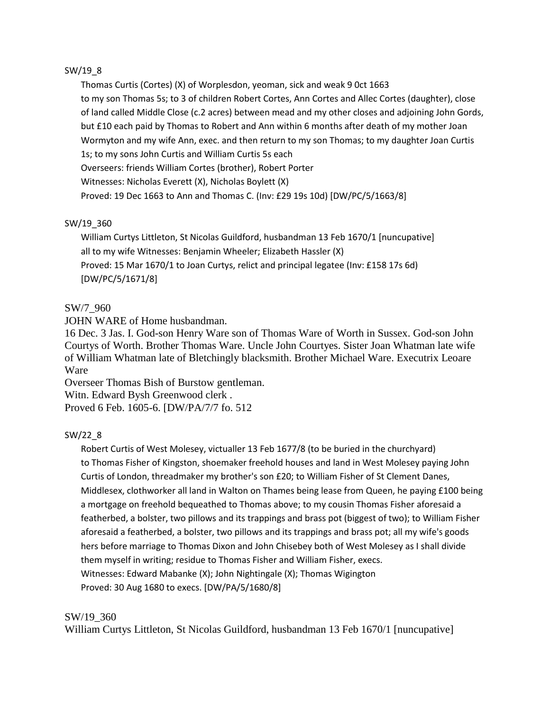## SW/19\_8

Thomas Curtis (Cortes) (X) of Worplesdon, yeoman, sick and weak 9 0ct 1663 to my son Thomas 5s; to 3 of children Robert Cortes, Ann Cortes and Allec Cortes (daughter), close of land called Middle Close (c.2 acres) between mead and my other closes and adjoining John Gords, but £10 each paid by Thomas to Robert and Ann within 6 months after death of my mother Joan Wormyton and my wife Ann, exec. and then return to my son Thomas; to my daughter Joan Curtis 1s; to my sons John Curtis and William Curtis 5s each Overseers: friends William Cortes (brother), Robert Porter Witnesses: Nicholas Everett (X), Nicholas Boylett (X) Proved: 19 Dec 1663 to Ann and Thomas C. (Inv: £29 19s 10d) [DW/PC/5/1663/8]

## SW/19\_360

William Curtys Littleton, St Nicolas Guildford, husbandman 13 Feb 1670/1 [nuncupative] all to my wife Witnesses: Benjamin Wheeler; Elizabeth Hassler (X) Proved: 15 Mar 1670/1 to Joan Curtys, relict and principal legatee (Inv: £158 17s 6d) [DW/PC/5/1671/8]

# SW/7\_960

JOHN WARE of Home husbandman.

16 Dec. 3 Jas. I. God-son Henry Ware son of Thomas Ware of Worth in Sussex. God-son John Courtys of Worth. Brother Thomas Ware. Uncle John Courtyes. Sister Joan Whatman late wife of William Whatman late of Bletchingly blacksmith. Brother Michael Ware. Executrix Leoare Ware

Overseer Thomas Bish of Burstow gentleman. Witn. Edward Bysh Greenwood clerk .

Proved 6 Feb. 1605-6. [DW/PA/7/7 fo. 512

# SW/22\_8

Robert Curtis of West Molesey, victualler 13 Feb 1677/8 (to be buried in the churchyard) to Thomas Fisher of Kingston, shoemaker freehold houses and land in West Molesey paying John Curtis of London, threadmaker my brother's son £20; to William Fisher of St Clement Danes, Middlesex, clothworker all land in Walton on Thames being lease from Queen, he paying £100 being a mortgage on freehold bequeathed to Thomas above; to my cousin Thomas Fisher aforesaid a featherbed, a bolster, two pillows and its trappings and brass pot (biggest of two); to William Fisher aforesaid a featherbed, a bolster, two pillows and its trappings and brass pot; all my wife's goods hers before marriage to Thomas Dixon and John Chisebey both of West Molesey as I shall divide them myself in writing; residue to Thomas Fisher and William Fisher, execs. Witnesses: Edward Mabanke (X); John Nightingale (X); Thomas Wigington Proved: 30 Aug 1680 to execs. [DW/PA/5/1680/8]

### SW/19\_360

William Curtys Littleton, St Nicolas Guildford, husbandman 13 Feb 1670/1 [nuncupative]